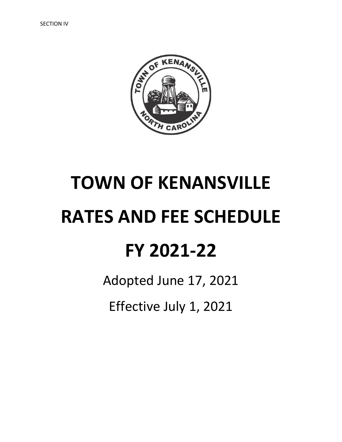

# **TOWN OF KENANSVILLE RATES AND FEE SCHEDULE FY 2021-22**

Adopted June 17, 2021

Effective July 1, 2021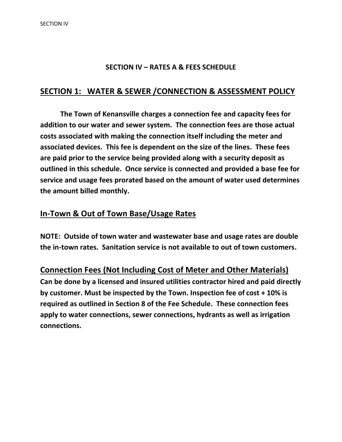#### **SECTION IV – RATES A & FEES SCHEDULE**

#### **SECTION 1: WATER & SEWER /CONNECTION & ASSESSMENT POLICY**

**The Town of Kenansville charges a connection fee and capacity fees for addition to our water and sewer system. The connection fees are those actual costs associated with making the connection itself including the meter and associated devices. This fee is dependent on the size of the lines. These fees are paid prior to the service being provided along with a security deposit as outlined in this schedule. Once service is connected and provided a base fee for service and usage fees prorated based on the amount of water used determines the amount billed monthly.**

#### **In-Town & Out of Town Base/Usage Rates**

**NOTE: Outside of town water and wastewater base and usage rates are double the in-town rates. Sanitation service is not available to out of town customers.**

**Connection Fees (Not Including Cost of Meter and Other Materials) Can be done by a licensed and insured utilities contractor hired and paid directly by customer. Must be inspected by the Town. Inspection fee of cost + 10% is required as outlined in Section 8 of the Fee Schedule. These connection fees apply to water connections, sewer connections, hydrants as well as irrigation connections.**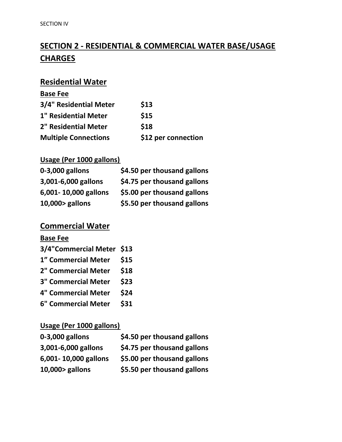## **SECTION 2 - RESIDENTIAL & COMMERCIAL WATER BASE/USAGE CHARGES**

## **Residential Water**

| <b>Base Fee</b>             |                     |
|-----------------------------|---------------------|
| 3/4" Residential Meter      | \$13                |
| <b>1" Residential Meter</b> | \$15                |
| <b>2" Residential Meter</b> | \$18                |
| <b>Multiple Connections</b> | \$12 per connection |

#### **Usage (Per 1000 gallons)**

| 0-3,000 gallons      | \$4.50 per thousand gallons |
|----------------------|-----------------------------|
| 3,001-6,000 gallons  | \$4.75 per thousand gallons |
| 6,001-10,000 gallons | \$5.00 per thousand gallons |
| 10,000> gallons      | \$5.50 per thousand gallons |

#### **Commercial Water**

#### **Base Fee**

| 3/4"Commercial Meter \$13  |      |
|----------------------------|------|
| 1" Commercial Meter        | \$15 |
| 2" Commercial Meter        | \$18 |
| <b>3" Commercial Meter</b> | \$23 |
| <b>4" Commercial Meter</b> | \$24 |
| <b>6" Commercial Meter</b> | \$31 |

#### **Usage (Per 1000 gallons)**

| 0-3,000 gallons      | \$4.50 per thousand gallons |
|----------------------|-----------------------------|
| 3,001-6,000 gallons  | \$4.75 per thousand gallons |
| 6,001-10,000 gallons | \$5.00 per thousand gallons |
| 10,000> gallons      | \$5.50 per thousand gallons |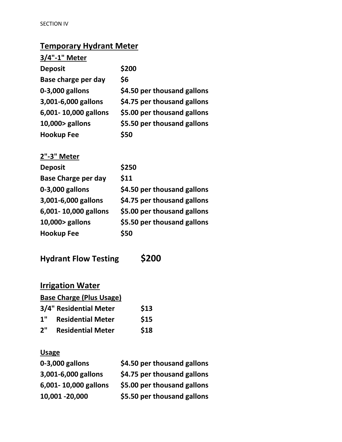## **Temporary Hydrant Meter**

| 3/4"-1" Meter              |                             |
|----------------------------|-----------------------------|
| <b>Deposit</b>             | \$200                       |
| Base charge per day        | \$6                         |
| 0-3,000 gallons            | \$4.50 per thousand gallons |
| 3,001-6,000 gallons        | \$4.75 per thousand gallons |
| 6,001-10,000 gallons       | \$5.00 per thousand gallons |
| 10,000> gallons            | \$5.50 per thousand gallons |
| Hookup Fee                 | \$50                        |
| <u>2"-3" Meter</u>         |                             |
| <b>Deposit</b>             | \$250                       |
| <b>Base Charge per day</b> | \$11                        |
| 0-3,000 gallons            | \$4.50 per thousand gallons |
| 3,001-6,000 gallons        | \$4.75 per thousand gallons |
| 6,001-10,000 gallons       | \$5.00 per thousand gallons |
| 10,000> gallons            | \$5.50 per thousand gallons |
| <b>Hookup Fee</b>          | \$50                        |
|                            |                             |

**Hydrant Flow Testing \$200**

| <b>Irrigation Water</b> |                                 |      |
|-------------------------|---------------------------------|------|
|                         | <b>Base Charge (Plus Usage)</b> |      |
|                         | <b>3/4" Residential Meter</b>   | \$13 |
| 1"                      | <b>Residential Meter</b>        | \$15 |
| 2"                      | <b>Residential Meter</b>        | \$18 |

## **Usage**

| 0-3,000 gallons      | \$4.50 per thousand gallons |
|----------------------|-----------------------------|
| 3,001-6,000 gallons  | \$4.75 per thousand gallons |
| 6,001-10,000 gallons | \$5.00 per thousand gallons |
| 10,001 -20,000       | \$5.50 per thousand gallons |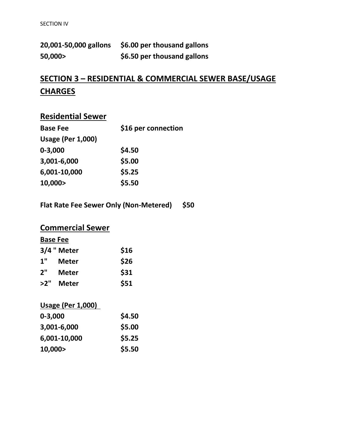| 20,001-50,000 gallons | \$6.00 per thousand gallons |
|-----------------------|-----------------------------|
| 50,000>               | \$6.50 per thousand gallons |

## **SECTION 3 – RESIDENTIAL & COMMERCIAL SEWER BASE/USAGE CHARGES**

## **Residential Sewer**

| <b>Base Fee</b>          | \$16 per connection |
|--------------------------|---------------------|
| <b>Usage (Per 1,000)</b> |                     |
| $0 - 3,000$              | \$4.50              |
| 3,001-6,000              | \$5.00              |
| 6,001-10,000             | \$5.25              |
| 10,000>                  | \$5.50              |
|                          |                     |

**Flat Rate Fee Sewer Only (Non-Metered) \$50**

## **Commercial Sewer**

| <b>Base Fee</b> |              |      |
|-----------------|--------------|------|
|                 | 3/4 " Meter  | \$16 |
| 1"              | <b>Meter</b> | \$26 |
| 2"              | Meter        | \$31 |
| >2"             | <b>Meter</b> | \$51 |

## **Usage (Per 1,000)**

| \$4.50 |
|--------|
| \$5.00 |
| \$5.25 |
| \$5.50 |
|        |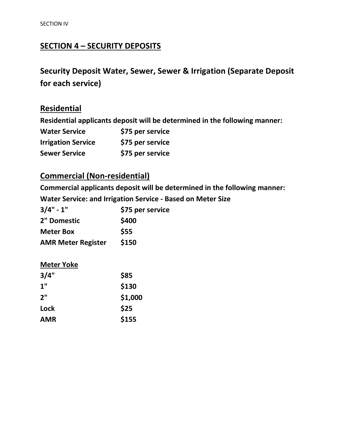## **SECTION 4 – SECURITY DEPOSITS**

## **Security Deposit Water, Sewer, Sewer & Irrigation (Separate Deposit for each service)**

## **Residential**

**Residential applicants deposit will be determined in the following manner:**

| <b>Water Service</b>      | \$75 per service |
|---------------------------|------------------|
| <b>Irrigation Service</b> | \$75 per service |
| <b>Sewer Service</b>      | \$75 per service |

### **Commercial (Non-residential)**

**Commercial applicants deposit will be determined in the following manner:**

**Water Service: and Irrigation Service - Based on Meter Size**

| $3/4" - 1"$               | \$75 per service |  |
|---------------------------|------------------|--|
| 2" Domestic               | \$400            |  |
| <b>Meter Box</b>          | <b>\$55</b>      |  |
| <b>AMR Meter Register</b> | \$150            |  |

#### **Meter Yoke**

| 3/4"       | \$85    |
|------------|---------|
| 1"         | \$130   |
| 2"         | \$1,000 |
| Lock       | \$25    |
| <b>AMR</b> | \$155   |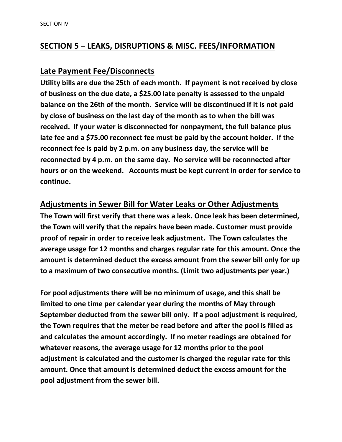#### **SECTION 5 – LEAKS, DISRUPTIONS & MISC. FEES/INFORMATION**

#### **Late Payment Fee/Disconnects**

**Utility bills are due the 25th of each month. If payment is not received by close of business on the due date, a \$25.00 late penalty is assessed to the unpaid balance on the 26th of the month. Service will be discontinued if it is not paid by close of business on the last day of the month as to when the bill was received. If your water is disconnected for nonpayment, the full balance plus late fee and a \$75.00 reconnect fee must be paid by the account holder. If the reconnect fee is paid by 2 p.m. on any business day, the service will be reconnected by 4 p.m. on the same day. No service will be reconnected after hours or on the weekend. Accounts must be kept current in order for service to continue.**

#### **Adjustments in Sewer Bill for Water Leaks or Other Adjustments**

**The Town will first verify that there was a leak. Once leak has been determined, the Town will verify that the repairs have been made. Customer must provide proof of repair in order to receive leak adjustment. The Town calculates the average usage for 12 months and charges regular rate for this amount. Once the amount is determined deduct the excess amount from the sewer bill only for up to a maximum of two consecutive months. (Limit two adjustments per year.)**

**For pool adjustments there will be no minimum of usage, and this shall be limited to one time per calendar year during the months of May through September deducted from the sewer bill only. If a pool adjustment is required, the Town requires that the meter be read before and after the pool is filled as and calculates the amount accordingly. If no meter readings are obtained for whatever reasons, the average usage for 12 months prior to the pool adjustment is calculated and the customer is charged the regular rate for this amount. Once that amount is determined deduct the excess amount for the pool adjustment from the sewer bill.**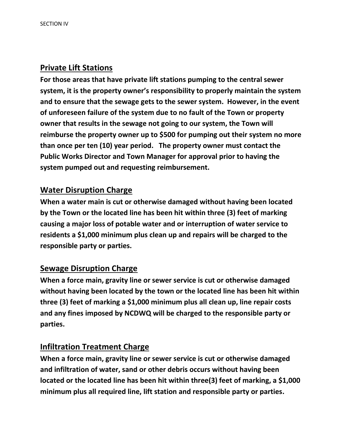#### **Private Lift Stations**

**For those areas that have private lift stations pumping to the central sewer system, it is the property owner's responsibility to properly maintain the system and to ensure that the sewage gets to the sewer system. However, in the event of unforeseen failure of the system due to no fault of the Town or property owner that results in the sewage not going to our system, the Town will reimburse the property owner up to \$500 for pumping out their system no more than once per ten (10) year period. The property owner must contact the Public Works Director and Town Manager for approval prior to having the system pumped out and requesting reimbursement.**

#### **Water Disruption Charge**

**When a water main is cut or otherwise damaged without having been located by the Town or the located line has been hit within three (3) feet of marking causing a major loss of potable water and or interruption of water service to residents a \$1,000 minimum plus clean up and repairs will be charged to the responsible party or parties.**

#### **Sewage Disruption Charge**

**When a force main, gravity line or sewer service is cut or otherwise damaged without having been located by the town or the located line has been hit within three (3) feet of marking a \$1,000 minimum plus all clean up, line repair costs and any fines imposed by NCDWQ will be charged to the responsible party or parties.**

#### **Infiltration Treatment Charge**

**When a force main, gravity line or sewer service is cut or otherwise damaged and infiltration of water, sand or other debris occurs without having been located or the located line has been hit within three(3) feet of marking, a \$1,000 minimum plus all required line, lift station and responsible party or parties.**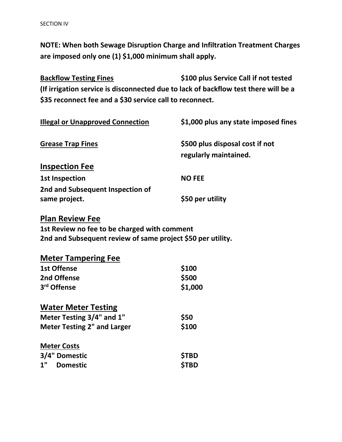**NOTE: When both Sewage Disruption Charge and Infiltration Treatment Charges are imposed only one (1) \$1,000 minimum shall apply.**

**Backflow Testing Fines \$100 plus Service Call if not tested (If irrigation service is disconnected due to lack of backflow test there will be a \$35 reconnect fee and a \$30 service call to reconnect.**

| <b>Illegal or Unapproved Connection</b>           | \$1,000 plus any state imposed fines                     |
|---------------------------------------------------|----------------------------------------------------------|
| <b>Grease Trap Fines</b>                          | \$500 plus disposal cost if not<br>regularly maintained. |
| <b>Inspection Fee</b>                             |                                                          |
| <b>1st Inspection</b>                             | <b>NO FEE</b>                                            |
| 2nd and Subsequent Inspection of<br>same project. | \$50 per utility                                         |

#### **Plan Review Fee**

**1st Review no fee to be charged with comment 2nd and Subsequent review of same project \$50 per utility.**

| <b>Meter Tampering Fee</b>         |              |
|------------------------------------|--------------|
| <b>1st Offense</b>                 | \$100        |
| 2nd Offense                        | \$500        |
| 3 <sup>rd</sup> Offense            | \$1,000      |
| <b>Water Meter Testing</b>         |              |
| Meter Testing 3/4" and 1"          | \$50         |
| <b>Meter Testing 2" and Larger</b> | \$100        |
| <b>Meter Costs</b>                 |              |
| 3/4" Domestic                      | <b>\$TBD</b> |
| 1"<br><b>Domestic</b>              | <b>STBD</b>  |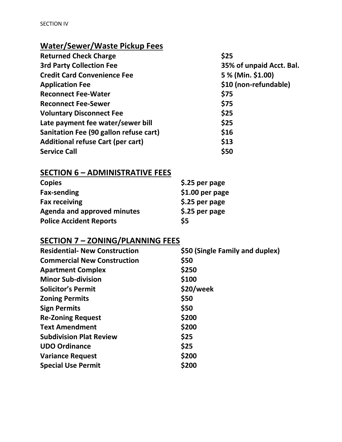## **Water/Sewer/Waste Pickup Fees**

| <b>Returned Check Charge</b>             | \$25                     |
|------------------------------------------|--------------------------|
| <b>3rd Party Collection Fee</b>          | 35% of unpaid Acct. Bal. |
| <b>Credit Card Convenience Fee</b>       | 5 % (Min. \$1.00)        |
| <b>Application Fee</b>                   | \$10 (non-refundable)    |
| <b>Reconnect Fee-Water</b>               | \$75                     |
| <b>Reconnect Fee-Sewer</b>               | \$75                     |
| <b>Voluntary Disconnect Fee</b>          | \$25                     |
| Late payment fee water/sewer bill        | \$25                     |
| Sanitation Fee (90 gallon refuse cart)   | \$16                     |
| <b>Additional refuse Cart (per cart)</b> | \$13                     |
| <b>Service Call</b>                      | \$50                     |

## **SECTION 6 – ADMINISTRATIVE FEES**

| <b>Copies</b>                      | \$.25 per page   |
|------------------------------------|------------------|
| <b>Fax-sending</b>                 | $$1.00$ per page |
| <b>Fax receiving</b>               | \$.25 per page   |
| <b>Agenda and approved minutes</b> | \$.25 per page   |
| <b>Police Accident Reports</b>     | \$5              |

## **SECTION 7 – ZONING/PLANNING FEES**

| <b>Residential- New Construction</b> | \$50 (Single Family and duplex) |
|--------------------------------------|---------------------------------|
| <b>Commercial New Construction</b>   | \$50                            |
| <b>Apartment Complex</b>             | \$250                           |
| <b>Minor Sub-division</b>            | \$100                           |
| <b>Solicitor's Permit</b>            | \$20/week                       |
| <b>Zoning Permits</b>                | \$50                            |
| <b>Sign Permits</b>                  | \$50                            |
| <b>Re-Zoning Request</b>             | \$200                           |
| <b>Text Amendment</b>                | \$200                           |
| <b>Subdivision Plat Review</b>       | \$25                            |
| <b>UDO Ordinance</b>                 | \$25                            |
| <b>Variance Request</b>              | \$200                           |
| <b>Special Use Permit</b>            | \$200                           |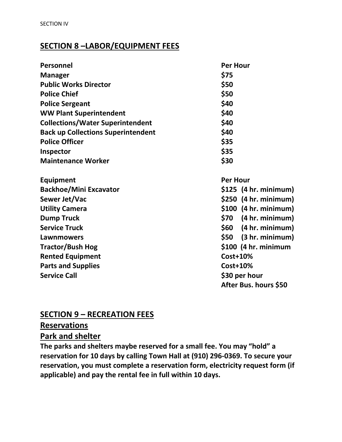#### **SECTION 8 –LABOR/EQUIPMENT FEES**

| <b>Personnel</b>                          | <b>Per Hour</b>         |  |
|-------------------------------------------|-------------------------|--|
| <b>Manager</b>                            | \$75                    |  |
| <b>Public Works Director</b>              | \$50                    |  |
| <b>Police Chief</b>                       | \$50                    |  |
| <b>Police Sergeant</b>                    | \$40                    |  |
| <b>WW Plant Superintendent</b>            | \$40                    |  |
| <b>Collections/Water Superintendent</b>   | \$40                    |  |
| <b>Back up Collections Superintendent</b> | \$40                    |  |
| <b>Police Officer</b>                     | \$35                    |  |
| Inspector                                 | \$35                    |  |
| <b>Maintenance Worker</b>                 | \$30                    |  |
| <b>Equipment</b>                          | <b>Per Hour</b>         |  |
| <b>Backhoe/Mini Excavator</b>             | $$125$ (4 hr. minimum)  |  |
| Sewer Jet/Vac                             | $$250$ (4 hr. minimum)  |  |
| <b>Utility Camera</b>                     | $$100$ (4 hr. minimum)  |  |
| <b>Dump Truck</b>                         | $$70$ (4 hr. minimum)   |  |
| <b>Service Truck</b>                      | $$60$ $(4 hr. minimum)$ |  |
| Lawnmowers                                | $$50$ $(3 hr. minimum)$ |  |
| <b>Tractor/Bush Hog</b>                   | $$100$ (4 hr. minimum   |  |
| <b>Rented Equipment</b>                   | <b>Cost+10%</b>         |  |
| <b>Parts and Supplies</b>                 | <b>Cost+10%</b>         |  |
| <b>Service Call</b>                       | \$30 per hour           |  |
|                                           | After Bus. hours \$50   |  |

#### **SECTION 9 – RECREATION FEES**

**Reservations**

**Park and shelter**

**The parks and shelters maybe reserved for a small fee. You may "hold" a reservation for 10 days by calling Town Hall at (910) 296-0369. To secure your reservation, you must complete a reservation form, electricity request form (if applicable) and pay the rental fee in full within 10 days.**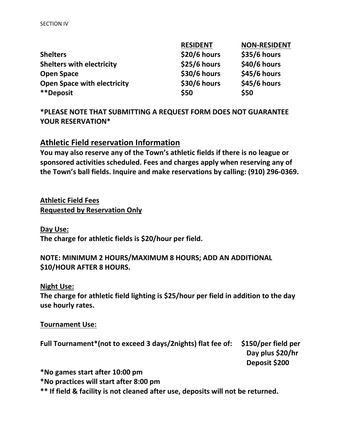|                                    | <b>RESIDENT</b> | <b>NON-RESIDENT</b> |
|------------------------------------|-----------------|---------------------|
| <b>Shelters</b>                    | \$20/6 hours    | \$35/6 hours        |
| <b>Shelters with electricity</b>   | $$25/6$ hours   | \$40/6 hours        |
| <b>Open Space</b>                  | \$30/6 hours    | \$45/6 hours        |
| <b>Open Space with electricity</b> | \$30/6 hours    | \$45/6 hours        |
| **Deposit                          | \$50            | \$50                |

**\*PLEASE NOTE THAT SUBMITTING A REQUEST FORM DOES NOT GUARANTEE YOUR RESERVATION\***

#### **Athletic Field reservation Information**

**You may also reserve any of the Town's athletic fields if there is no league or sponsored activities scheduled. Fees and charges apply when reserving any of the Town's ball fields. Inquire and make reservations by calling: (910) 296-0369.**

**Athletic Field Fees Requested by Reservation Only**

**Day Use: The charge for athletic fields is \$20/hour per field.**

#### **NOTE: MINIMUM 2 HOURS/MAXIMUM 8 HOURS; ADD AN ADDITIONAL \$10/HOUR AFTER 8 HOURS.**

**Night Use:**

**The charge for athletic field lighting is \$25/hour per field in addition to the day use hourly rates.** 

#### **Tournament Use:**

**Full Tournament\*(not to exceed 3 days/2nights) flat fee of: \$150/per field per Day plus \$20/hr Deposit \$200**

**\*No games start after 10:00 pm**

**\*No practices will start after 8:00 pm**

**\*\* If field & facility is not cleaned after use, deposits will not be returned.**